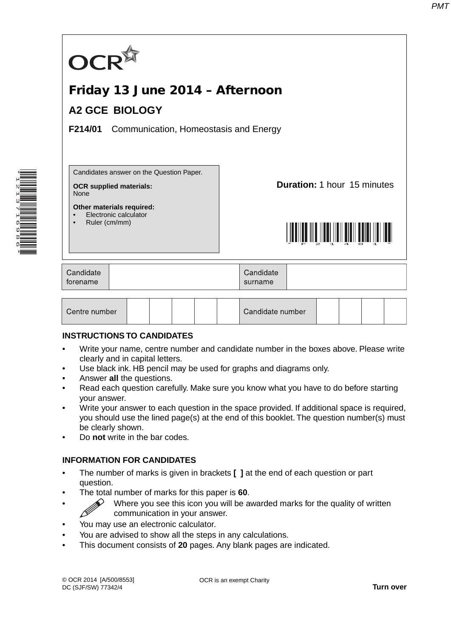

#### **INSTRUCTIONS TO CANDIDATES**

- Write your name, centre number and candidate number in the boxes above. Please write clearly and in capital letters.
- Use black ink. HB pencil may be used for graphs and diagrams only.
- Answer **all** the questions.

\*1213716986\*

- Read each question carefully. Make sure you know what you have to do before starting your answer.
- Write your answer to each question in the space provided. If additional space is required, you should use the lined page(s) at the end of this booklet. The question number(s) must be clearly shown.
- Do **not** write in the bar codes.

### **INFORMATION FOR CANDIDATES**

- The number of marks is given in brackets **[ ]** at the end of each question or part question.
- The total number of marks for this paper is **60**.
- $\gg$  Where you see this icon you will be awarded marks for the quality of written communication in your answer.
- You may use an electronic calculator.
- You are advised to show all the steps in any calculations.
- This document consists of **20** pages. Any blank pages are indicated.

OCR is an exempt Charity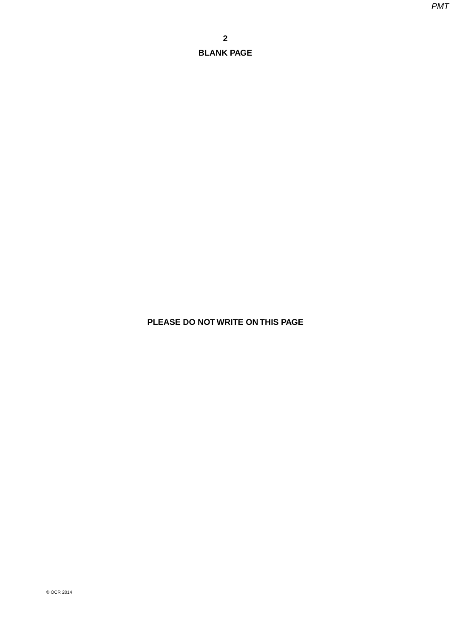**PLEASE DO NOT WRITE ON THIS PAGE**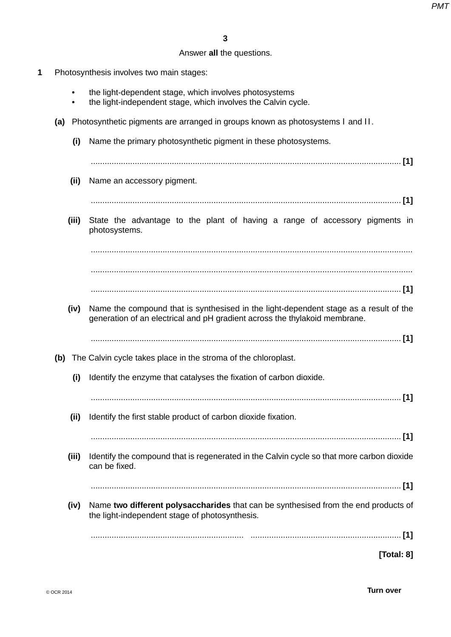# Answer **all** the questions.

- **1** Photosynthesis involves two main stages:
	- the light-dependent stage, which involves photosystems
	- the light-independent stage, which involves the Calvin cycle.
	- **(a)** Photosynthetic pigments are arranged in groups known as photosystems I and II.
		- **(i)** Name the primary photosynthetic pigment in these photosystems.
		- ...................................................................................................................................... **[1]**
		- **(ii)** Name an accessory pigment.
			- ...................................................................................................................................... **[1]**
		- **(iii)** State the advantage to the plant of having a range of accessory pigments in photosystems.

 ........................................................................................................................................... ...........................................................................................................................................

...................................................................................................................................... **[1]**

- **(iv)** Name the compound that is synthesised in the light-dependent stage as a result of the generation of an electrical and pH gradient across the thylakoid membrane.
	- ...................................................................................................................................... **[1]**
- **(b)** The Calvin cycle takes place in the stroma of the chloroplast.
	- **(i)** Identify the enzyme that catalyses the fixation of carbon dioxide.
		- ...................................................................................................................................... **[1]**
	- **(ii)** Identify the first stable product of carbon dioxide fixation.

...................................................................................................................................... **[1]**

 **(iii)** Identify the compound that is regenerated in the Calvin cycle so that more carbon dioxide can be fixed.

...................................................................................................................................... **[1]**

 **(iv)** Name **two different polysaccharides** that can be synthesised from the end products of the light-independent stage of photosynthesis.

.................................................................. ................................................................. **[1]**

**[Total: 8]**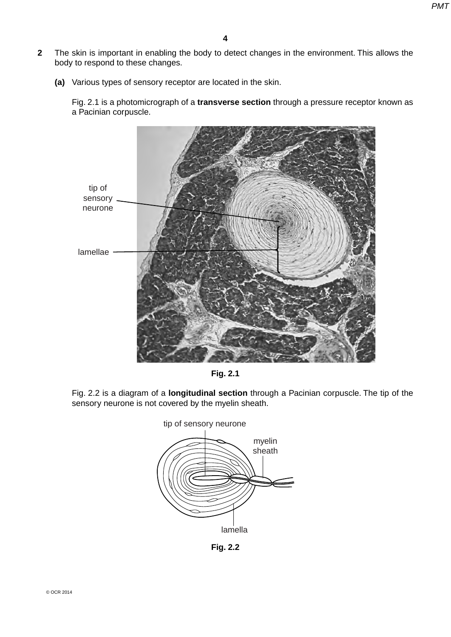- **2** The skin is important in enabling the body to detect changes in the environment. This allows the body to respond to these changes.
	- **(a)** Various types of sensory receptor are located in the skin.

Fig. 2.1 is a photomicrograph of a **transverse section** through a pressure receptor known as a Pacinian corpuscle.





Fig. 2.2 is a diagram of a **longitudinal section** through a Pacinian corpuscle. The tip of the sensory neurone is not covered by the myelin sheath.



**Fig. 2.2**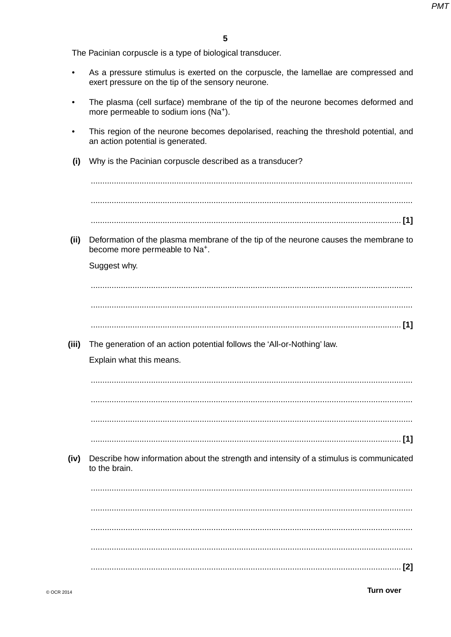The Pacinian corpuscle is a type of biological transducer.

- As a pressure stimulus is exerted on the corpuscle, the lamellae are compressed and  $\bullet$ exert pressure on the tip of the sensory neurone.
- The plasma (cell surface) membrane of the tip of the neurone becomes deformed and more permeable to sodium ions (Na<sup>+</sup>).
- This region of the neurone becomes depolarised, reaching the threshold potential, and an action potential is generated.
- Why is the Pacinian corpuscle described as a transducer?  $(i)$

 $(ii)$ Deformation of the plasma membrane of the tip of the neurone causes the membrane to become more permeable to Na<sup>+</sup>.

Suggest why.

The generation of an action potential follows the 'All-or-Nothing' law.  $(iii)$ Explain what this means. 

- 
- $(iv)$ Describe how information about the strength and intensity of a stimulus is communicated to the brain.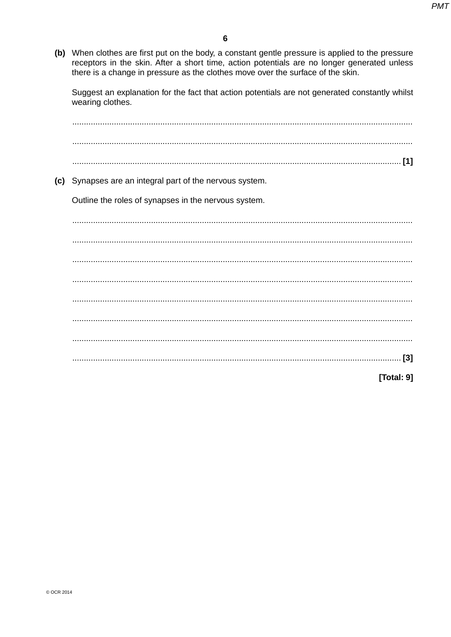(b) When clothes are first put on the body, a constant gentle pressure is applied to the pressure receptors in the skin. After a short time, action potentials are no longer generated unless there is a change in pressure as the clothes move over the surface of the skin.

Suggest an explanation for the fact that action potentials are not generated constantly whilst wearing clothes.

(c) Synapses are an integral part of the nervous system. Outline the roles of synapses in the nervous system. [Total: 9]

© OCR 2014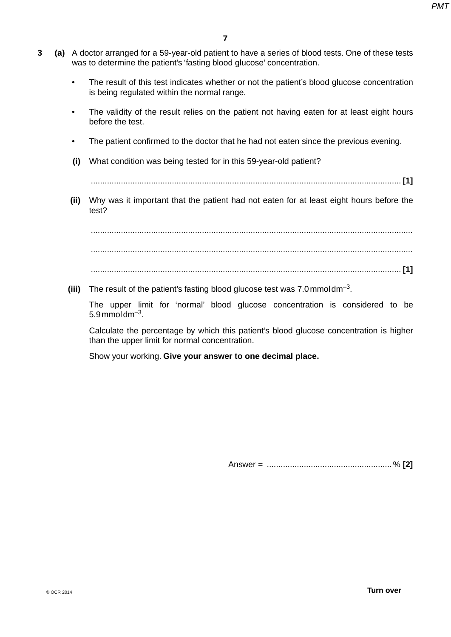- **3 (a)** A doctor arranged for a 59-year-old patient to have a series of blood tests. One of these tests was to determine the patient's 'fasting blood glucose' concentration.
	- The result of this test indicates whether or not the patient's blood glucose concentration is being regulated within the normal range.
	- The validity of the result relies on the patient not having eaten for at least eight hours before the test.
	- The patient confirmed to the doctor that he had not eaten since the previous evening.
	- **(i)** What condition was being tested for in this 59-year-old patient?

...................................................................................................................................... **[1]**

 **(ii)** Why was it important that the patient had not eaten for at least eight hours before the test?

 ........................................................................................................................................... ........................................................................................................................................... ...................................................................................................................................... **[1]**

 **(iii)** The result of the patient's fasting blood glucose test was 7.0 mmol dm–3.

The upper limit for 'normal' blood glucose concentration is considered to be  $5.9$  mmoldm<sup>-3</sup>.

Calculate the percentage by which this patient's blood glucose concentration is higher than the upper limit for normal concentration.

Show your working. **Give your answer to one decimal place.**

Answer = ...................................................... % **[2]**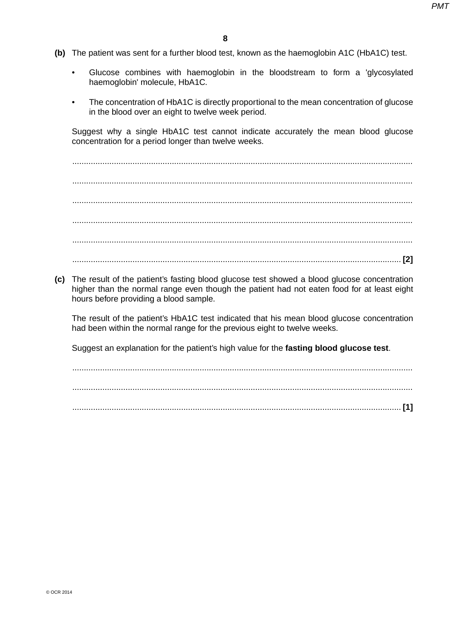- **(b)** The patient was sent for a further blood test, known as the haemoglobin A1C (HbA1C) test.
	- Glucose combines with haemoglobin in the bloodstream to form a 'glycosylated haemoglobin' molecule, HbA1C.
	- The concentration of HbA1C is directly proportional to the mean concentration of glucose in the blood over an eight to twelve week period.

Suggest why a single HbA1C test cannot indicate accurately the mean blood glucose concentration for a period longer than twelve weeks.

 ................................................................................................................................................... ................................................................................................................................................... ................................................................................................................................................... ................................................................................................................................................... ................................................................................................................................................... .............................................................................................................................................. **[2]**

 **(c)** The result of the patient's fasting blood glucose test showed a blood glucose concentration higher than the normal range even though the patient had not eaten food for at least eight hours before providing a blood sample.

The result of the patient's HbA1C test indicated that his mean blood glucose concentration had been within the normal range for the previous eight to twelve weeks.

Suggest an explanation for the patient's high value for the **fasting blood glucose test**.

 ................................................................................................................................................... ................................................................................................................................................... .............................................................................................................................................. **[1]**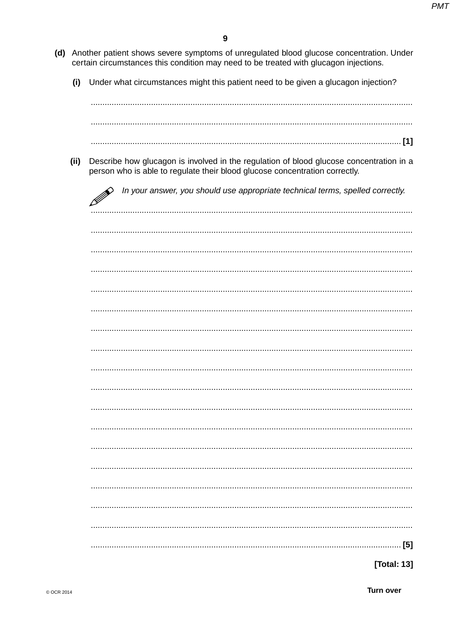- (d) Another patient shows severe symptoms of unregulated blood glucose concentration. Under certain circumstances this condition may need to be treated with glucagon injections.
	- $(i)$ Under what circumstances might this patient need to be given a glucagon injection?

(ii) Describe how glucagon is involved in the regulation of blood glucose concentration in a person who is able to regulate their blood glucose concentration correctly.

In your answer, you should use appropriate technical terms, spelled correctly.

| ∠ |
|---|
|   |
|   |
|   |
|   |
|   |
|   |
|   |
|   |
|   |
|   |
|   |
|   |
|   |
|   |
|   |
|   |
|   |
|   |

[Total: 13]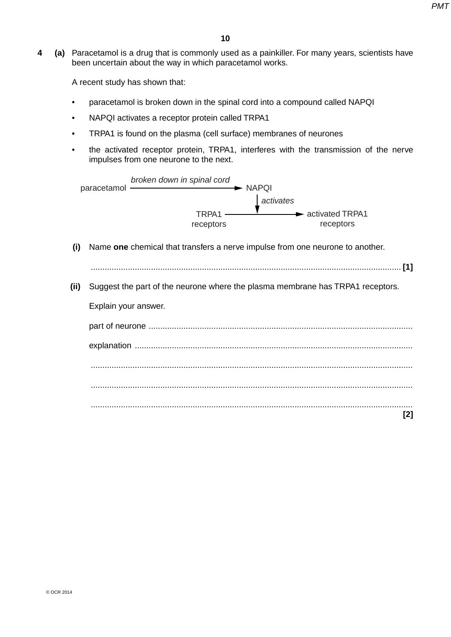**4 (a)** Paracetamol is a drug that is commonly used as a painkiller. For many years, scientists have been uncertain about the way in which paracetamol works.

A recent study has shown that:

- paracetamol is broken down in the spinal cord into a compound called NAPQI
- NAPQI activates a receptor protein called TRPA1
- TRPA1 is found on the plasma (cell surface) membranes of neurones
- the activated receptor protein, TRPA1, interferes with the transmission of the nerve impulses from one neurone to the next.

|      | broken down in spinal cord<br>paracetamol<br>$\blacktriangleright$ NAPQI       |
|------|--------------------------------------------------------------------------------|
|      | activates                                                                      |
|      | $TRPA1$ —<br>activated TRPA1<br>receptors<br>receptors                         |
| (i)  | Name one chemical that transfers a nerve impulse from one neurone to another.  |
|      |                                                                                |
| (ii) | Suggest the part of the neurone where the plasma membrane has TRPA1 receptors. |
|      | Explain your answer.                                                           |
|      |                                                                                |
|      |                                                                                |
|      |                                                                                |
|      |                                                                                |
|      | [2]                                                                            |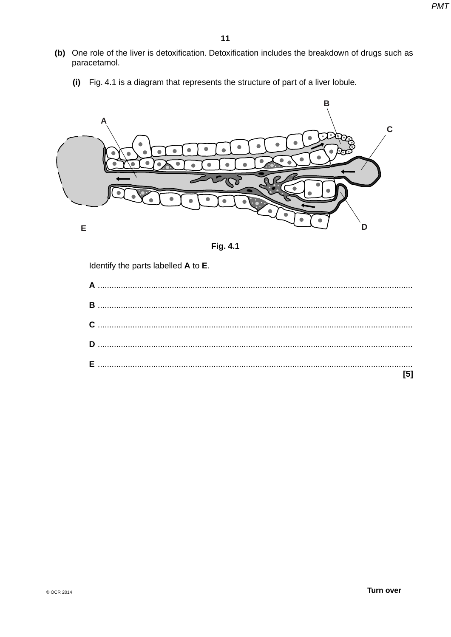- (b) One role of the liver is detoxification. Detoxification includes the breakdown of drugs such as paracetamol.
	- (i) Fig. 4.1 is a diagram that represents the structure of part of a liver lobule.





Identify the parts labelled A to E.

| [5] |
|-----|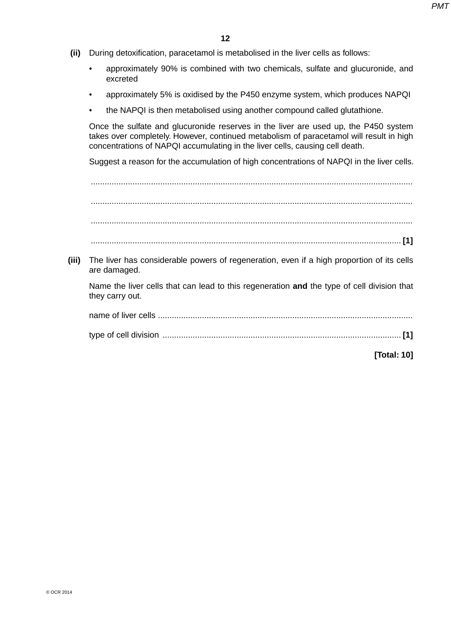- **(ii)** During detoxification, paracetamol is metabolised in the liver cells as follows:
	- approximately 90% is combined with two chemicals, sulfate and glucuronide, and excreted
	- approximately 5% is oxidised by the P450 enzyme system, which produces NAPQI
	- the NAPQI is then metabolised using another compound called glutathione.

Once the sulfate and glucuronide reserves in the liver are used up, the P450 system takes over completely. However, continued metabolism of paracetamol will result in high concentrations of NAPQI accumulating in the liver cells, causing cell death.

Suggest a reason for the accumulation of high concentrations of NAPQI in the liver cells.

 ........................................................................................................................................... ........................................................................................................................................... ........................................................................................................................................... ...................................................................................................................................... **[1] (iii)** The liver has considerable powers of regeneration, even if a high proportion of its cells are damaged. Name the liver cells that can lead to this regeneration **and** the type of cell division that they carry out. name of liver cells .............................................................................................................. type of cell division ....................................................................................................... **[1] [Total: 10]**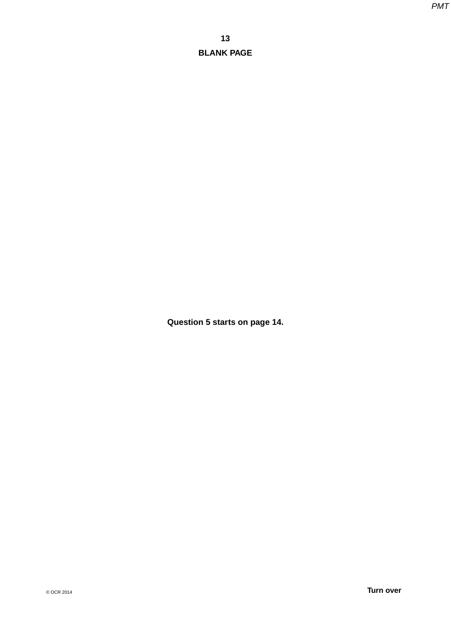**Question 5 starts on page 14.**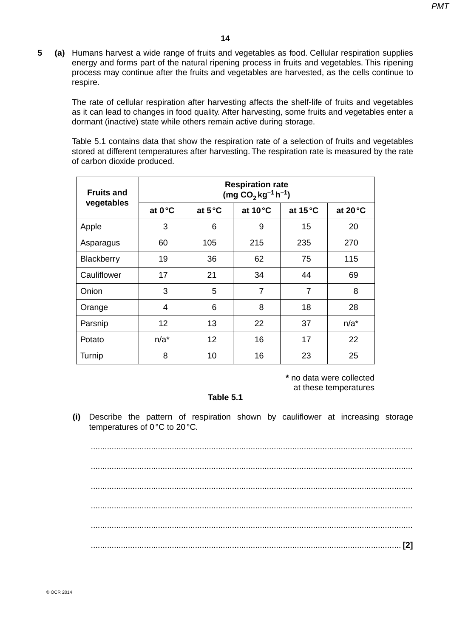**5 (a)** Humans harvest a wide range of fruits and vegetables as food. Cellular respiration supplies energy and forms part of the natural ripening process in fruits and vegetables. This ripening process may continue after the fruits and vegetables are harvested, as the cells continue to respire.

The rate of cellular respiration after harvesting affects the shelf-life of fruits and vegetables as it can lead to changes in food quality. After harvesting, some fruits and vegetables enter a dormant (inactive) state while others remain active during storage.

Table 5.1 contains data that show the respiration rate of a selection of fruits and vegetables stored at different temperatures after harvesting. The respiration rate is measured by the rate of carbon dioxide produced.

| <b>Fruits and</b> | <b>Respiration rate</b><br>$(mg CO2 kg-1 h-1)$ |                  |                   |                   |                   |  |
|-------------------|------------------------------------------------|------------------|-------------------|-------------------|-------------------|--|
| vegetables        | at 0°C                                         | at $5^{\circ}$ C | at $10^{\circ}$ C | at $15^{\circ}$ C | at $20^{\circ}$ C |  |
| Apple             | 3                                              | 6                | 9                 | 15                | 20                |  |
| Asparagus         | 60                                             | 105              | 215               | 235               | 270               |  |
| Blackberry        | 19                                             | 36               | 62                | 75                | 115               |  |
| Cauliflower       | 17                                             | 21               | 34                | 44                | 69                |  |
| Onion             | 3                                              | 5                | $\overline{7}$    | $\overline{7}$    | 8                 |  |
| Orange            | 4                                              | 6                | 8                 | 18                | 28                |  |
| Parsnip           | 12                                             | 13               | 22                | 37                | $n/a^*$           |  |
| Potato            | $n/a^*$                                        | 12               | 16                | 17                | 22                |  |
| Turnip            | 8                                              | 10               | 16                | 23                | 25                |  |

**\*** no data were collected at these temperatures

#### **Table 5.1**

 **(i)** Describe the pattern of respiration shown by cauliflower at increasing storage temperatures of 0 °C to 20 °C.

 ........................................................................................................................................... ........................................................................................................................................... ........................................................................................................................................... ...................................................................................................................................... **[2]**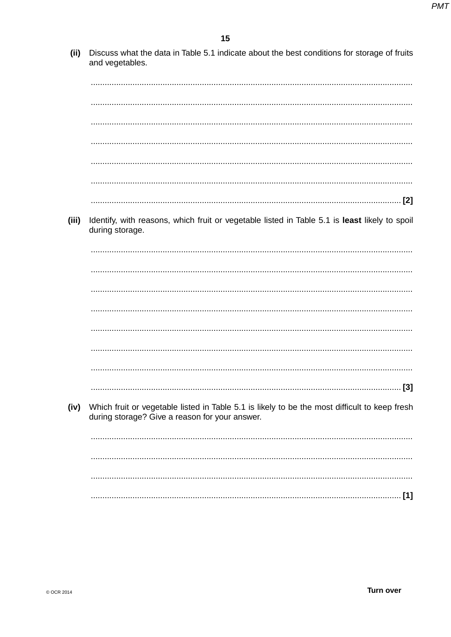$(iii)$ Discuss what the data in Table 5.1 indicate about the best conditions for storage of fruits and vegetables.

- 
- 
- (iii) Identify, with reasons, which fruit or vegetable listed in Table 5.1 is least likely to spoil during storage.

Which fruit or vegetable listed in Table 5.1 is likely to be the most difficult to keep fresh (iv) during storage? Give a reason for your answer.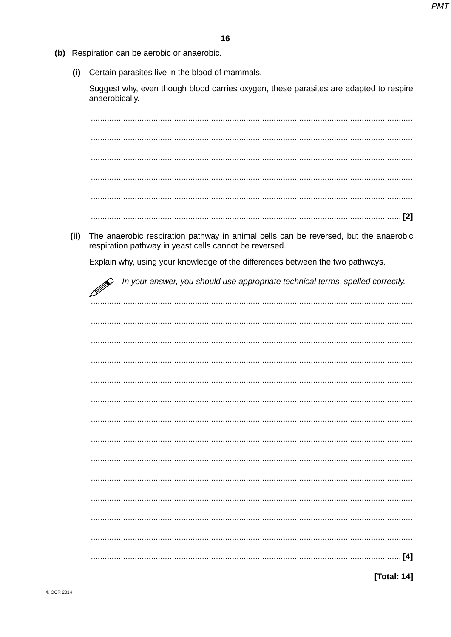- (b) Respiration can be aerobic or anaerobic.
	- (i) Certain parasites live in the blood of mammals.

Suggest why, even though blood carries oxygen, these parasites are adapted to respire anaerobically.

The anaerobic respiration pathway in animal cells can be reversed, but the anaerobic  $(ii)$ respiration pathway in yeast cells cannot be reversed.

Explain why, using your knowledge of the differences between the two pathways.

In your answer, you should use appropriate technical terms, spelled correctly. B

[Total: 14]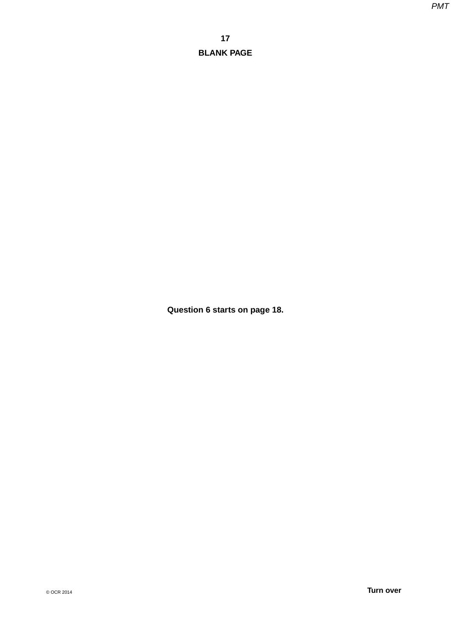**Question 6 starts on page 18.**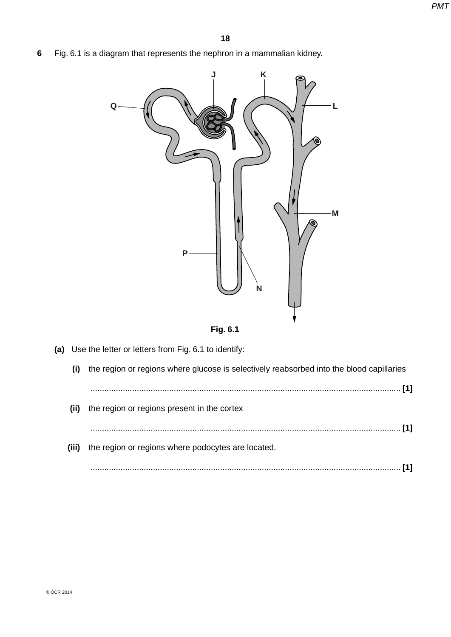**6** Fig. 6.1 is a diagram that represents the nephron in a mammalian kidney.





| (a)   | Use the letter or letters from Fig. 6.1 to identify:                                     |
|-------|------------------------------------------------------------------------------------------|
| (i)   | the region or regions where glucose is selectively reabsorbed into the blood capillaries |
|       |                                                                                          |
| (ii)  | the region or regions present in the cortex                                              |
|       |                                                                                          |
| (iii) | the region or regions where podocytes are located.                                       |
|       |                                                                                          |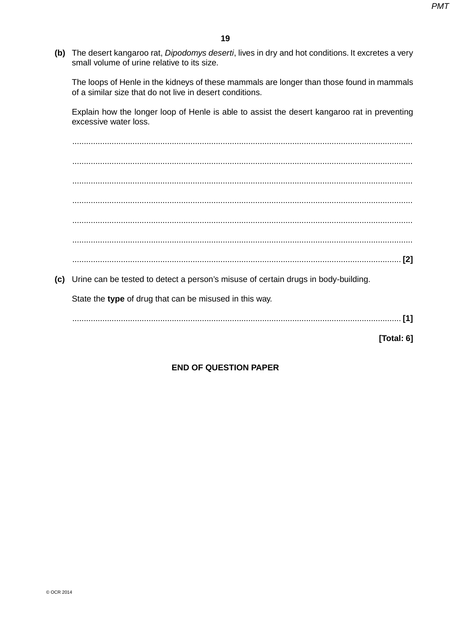(b) The desert kangaroo rat, Dipodomys deserti, lives in dry and hot conditions. It excretes a very small volume of urine relative to its size.

The loops of Henle in the kidneys of these mammals are longer than those found in mammals of a similar size that do not live in desert conditions.

Explain how the longer loop of Henle is able to assist the desert kangaroo rat in preventing excessive water loss.

(c) Urine can be tested to detect a person's misuse of certain drugs in body-building.

State the type of drug that can be misused in this way.

[Total: 6]

## **END OF QUESTION PAPER**